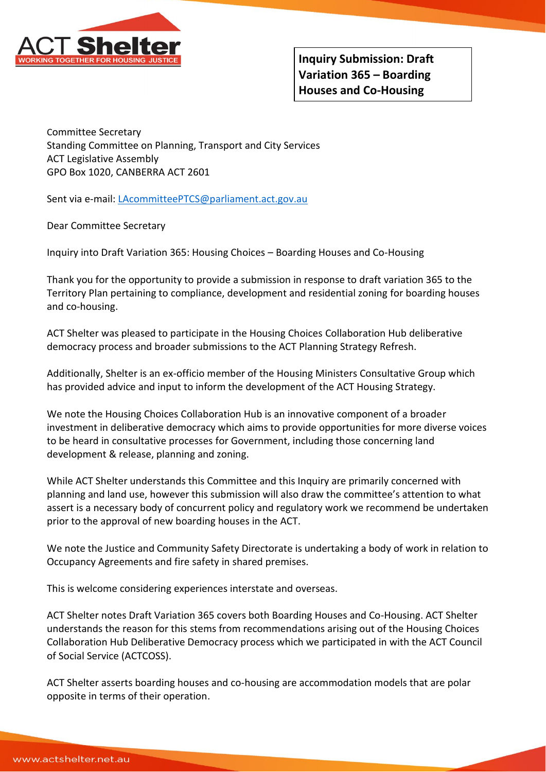

Committee Secretary Standing Committee on Planning, Transport and City Services ACT Legislative Assembly GPO Box 1020, CANBERRA ACT 2601

Sent via e-mail[: LAcommitteePTCS@parliament.act.gov.au](mailto:LAcommitteePTCS@parliament.act.gov.au)

Dear Committee Secretary

Inquiry into Draft Variation 365: Housing Choices – Boarding Houses and Co-Housing

Thank you for the opportunity to provide a submission in response to draft variation 365 to the Territory Plan pertaining to compliance, development and residential zoning for boarding houses and co-housing.

ACT Shelter was pleased to participate in the Housing Choices Collaboration Hub deliberative democracy process and broader submissions to the ACT Planning Strategy Refresh.

Additionally, Shelter is an ex-officio member of the Housing Ministers Consultative Group which has provided advice and input to inform the development of the ACT Housing Strategy.

We note the Housing Choices Collaboration Hub is an innovative component of a broader investment in deliberative democracy which aims to provide opportunities for more diverse voices to be heard in consultative processes for Government, including those concerning land development & release, planning and zoning.

While ACT Shelter understands this Committee and this Inquiry are primarily concerned with planning and land use, however this submission will also draw the committee's attention to what assert is a necessary body of concurrent policy and regulatory work we recommend be undertaken prior to the approval of new boarding houses in the ACT.

We note the Justice and Community Safety Directorate is undertaking a body of work in relation to Occupancy Agreements and fire safety in shared premises.

This is welcome considering experiences interstate and overseas.

ACT Shelter notes Draft Variation 365 covers both Boarding Houses and Co-Housing. ACT Shelter understands the reason for this stems from recommendations arising out of the Housing Choices Collaboration Hub Deliberative Democracy process which we participated in with the ACT Council of Social Service (ACTCOSS).

ACT Shelter asserts boarding houses and co-housing are accommodation models that are polar opposite in terms of their operation.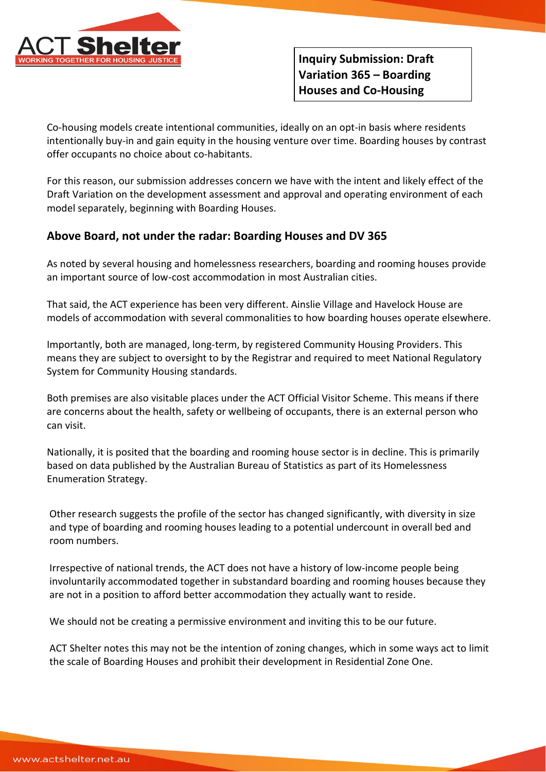

Co-housing models create intentional communities, ideally on an opt-in basis where residents intentionally buy-in and gain equity in the housing venture over time. Boarding houses by contrast offer occupants no choice about co-habitants.

For this reason, our submission addresses concern we have with the intent and likely effect of the Draft Variation on the development assessment and approval and operating environment of each model separately, beginning with Boarding Houses.

## **Above Board, not under the radar: Boarding Houses and DV 365**

As noted by several housing and homelessness researchers, boarding and rooming houses provide an important source of low-cost accommodation in most Australian cities.

That said, the ACT experience has been very different. Ainslie Village and Havelock House are models of accommodation with several commonalities to how boarding houses operate elsewhere.

Importantly, both are managed, long-term, by registered Community Housing Providers. This means they are subject to oversight to by the Registrar and required to meet National Regulatory System for Community Housing standards.

Both premises are also visitable places under the ACT Official Visitor Scheme. This means if there are concerns about the health, safety or wellbeing of occupants, there is an external person who can visit.

Nationally, it is posited that the boarding and rooming house sector is in decline. This is primarily based on data published by the Australian Bureau of Statistics as part of its Homelessness Enumeration Strategy.

Other research suggests the profile of the sector has changed significantly, with diversity in size and type of boarding and rooming houses leading to a potential undercount in overall bed and room numbers.

Irrespective of national trends, the ACT does not have a history of low-income people being involuntarily accommodated together in substandard boarding and rooming houses because they are not in a position to afford better accommodation they actually want to reside.

We should not be creating a permissive environment and inviting this to be our future.

ACT Shelter notes this may not be the intention of zoning changes, which in some ways act to limit the scale of Boarding Houses and prohibit their development in Residential Zone One.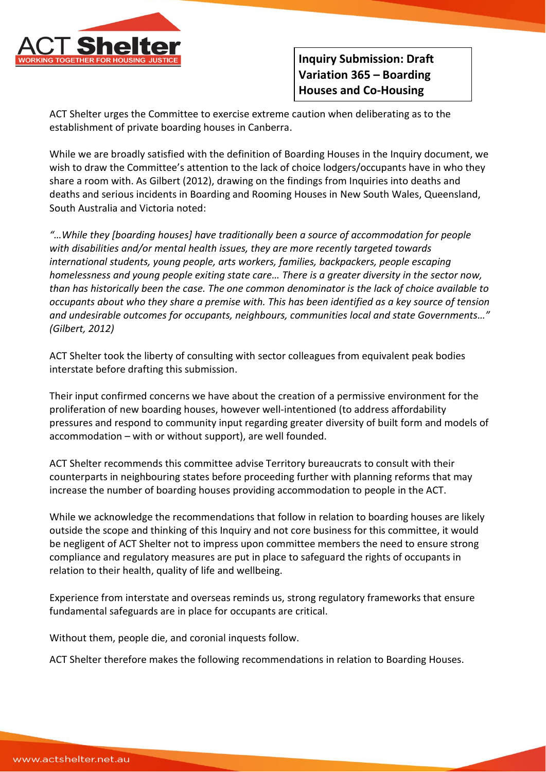

ACT Shelter urges the Committee to exercise extreme caution when deliberating as to the establishment of private boarding houses in Canberra.

While we are broadly satisfied with the definition of Boarding Houses in the Inquiry document, we wish to draw the Committee's attention to the lack of choice lodgers/occupants have in who they share a room with. As Gilbert (2012), drawing on the findings from Inquiries into deaths and deaths and serious incidents in Boarding and Rooming Houses in New South Wales, Queensland, South Australia and Victoria noted:

*"…While they [boarding houses] have traditionally been a source of accommodation for people with disabilities and/or mental health issues, they are more recently targeted towards international students, young people, arts workers, families, backpackers, people escaping homelessness and young people exiting state care… There is a greater diversity in the sector now, than has historically been the case. The one common denominator is the lack of choice available to occupants about who they share a premise with. This has been identified as a key source of tension and undesirable outcomes for occupants, neighbours, communities local and state Governments…" (Gilbert, 2012)*

ACT Shelter took the liberty of consulting with sector colleagues from equivalent peak bodies interstate before drafting this submission.

Their input confirmed concerns we have about the creation of a permissive environment for the proliferation of new boarding houses, however well-intentioned (to address affordability pressures and respond to community input regarding greater diversity of built form and models of accommodation – with or without support), are well founded.

ACT Shelter recommends this committee advise Territory bureaucrats to consult with their counterparts in neighbouring states before proceeding further with planning reforms that may increase the number of boarding houses providing accommodation to people in the ACT.

While we acknowledge the recommendations that follow in relation to boarding houses are likely outside the scope and thinking of this Inquiry and not core business for this committee, it would be negligent of ACT Shelter not to impress upon committee members the need to ensure strong compliance and regulatory measures are put in place to safeguard the rights of occupants in relation to their health, quality of life and wellbeing.

Experience from interstate and overseas reminds us, strong regulatory frameworks that ensure fundamental safeguards are in place for occupants are critical.

Without them, people die, and coronial inquests follow.

ACT Shelter therefore makes the following recommendations in relation to Boarding Houses.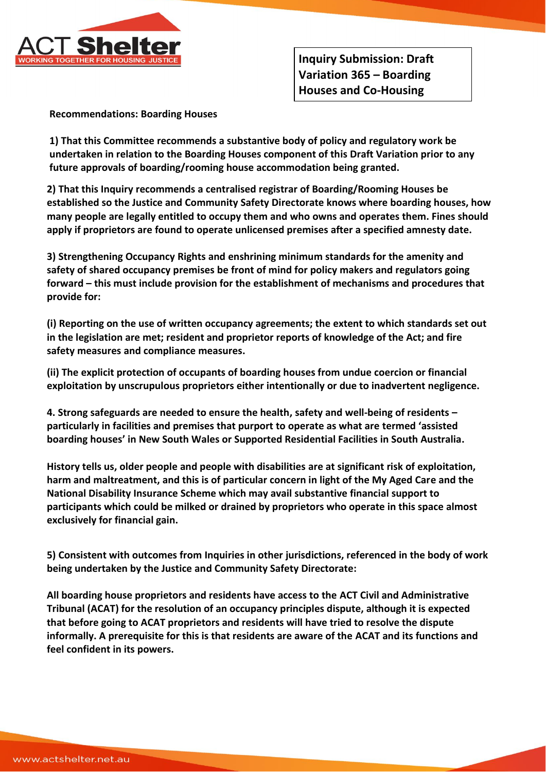

**Recommendations: Boarding Houses** 

**1) That this Committee recommends a substantive body of policy and regulatory work be undertaken in relation to the Boarding Houses component of this Draft Variation prior to any future approvals of boarding/rooming house accommodation being granted.** 

**2) That this Inquiry recommends a centralised registrar of Boarding/Rooming Houses be established so the Justice and Community Safety Directorate knows where boarding houses, how many people are legally entitled to occupy them and who owns and operates them. Fines should apply if proprietors are found to operate unlicensed premises after a specified amnesty date.** 

**3) Strengthening Occupancy Rights and enshrining minimum standards for the amenity and safety of shared occupancy premises be front of mind for policy makers and regulators going forward – this must include provision for the establishment of mechanisms and procedures that provide for:** 

**(i) Reporting on the use of written occupancy agreements; the extent to which standards set out in the legislation are met; resident and proprietor reports of knowledge of the Act; and fire safety measures and compliance measures.** 

**(ii) The explicit protection of occupants of boarding houses from undue coercion or financial exploitation by unscrupulous proprietors either intentionally or due to inadvertent negligence.**

**4. Strong safeguards are needed to ensure the health, safety and well-being of residents – particularly in facilities and premises that purport to operate as what are termed 'assisted boarding houses' in New South Wales or Supported Residential Facilities in South Australia.** 

**History tells us, older people and people with disabilities are at significant risk of exploitation, harm and maltreatment, and this is of particular concern in light of the My Aged Care and the National Disability Insurance Scheme which may avail substantive financial support to participants which could be milked or drained by proprietors who operate in this space almost exclusively for financial gain.** 

**5) Consistent with outcomes from Inquiries in other jurisdictions, referenced in the body of work being undertaken by the Justice and Community Safety Directorate:**

**All boarding house proprietors and residents have access to the ACT Civil and Administrative Tribunal (ACAT) for the resolution of an occupancy principles dispute, although it is expected that before going to ACAT proprietors and residents will have tried to resolve the dispute informally. A prerequisite for this is that residents are aware of the ACAT and its functions and feel confident in its powers.**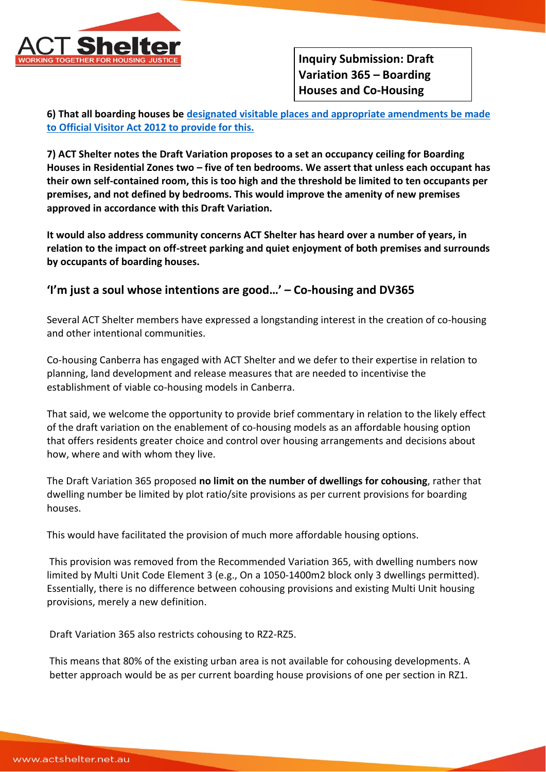

**6) That all boarding houses be [designated visitable places and appropriate amendments be made](https://www.ptg.act.gov.au/images/inf/vs-def-vis-place.pdf)  [to Official Visitor Act 2012 to provide for this.](https://www.ptg.act.gov.au/images/inf/vs-def-vis-place.pdf)** 

**7) ACT Shelter notes the Draft Variation proposes to a set an occupancy ceiling for Boarding Houses in Residential Zones two – five of ten bedrooms. We assert that unless each occupant has their own self-contained room, this is too high and the threshold be limited to ten occupants per premises, and not defined by bedrooms. This would improve the amenity of new premises approved in accordance with this Draft Variation.** 

**It would also address community concerns ACT Shelter has heard over a number of years, in relation to the impact on off-street parking and quiet enjoyment of both premises and surrounds by occupants of boarding houses.** 

## **'I'm just a soul whose intentions are good…' – Co-housing and DV365**

Several ACT Shelter members have expressed a longstanding interest in the creation of co-housing and other intentional communities.

Co-housing Canberra has engaged with ACT Shelter and we defer to their expertise in relation to planning, land development and release measures that are needed to incentivise the establishment of viable co-housing models in Canberra.

That said, we welcome the opportunity to provide brief commentary in relation to the likely effect of the draft variation on the enablement of co-housing models as an affordable housing option that offers residents greater choice and control over housing arrangements and decisions about how, where and with whom they live.

The Draft Variation 365 proposed **no limit on the number of dwellings for cohousing**, rather that dwelling number be limited by plot ratio/site provisions as per current provisions for boarding houses.

This would have facilitated the provision of much more affordable housing options.

This provision was removed from the Recommended Variation 365, with dwelling numbers now limited by Multi Unit Code Element 3 (e.g., On a 1050-1400m2 block only 3 dwellings permitted). Essentially, there is no difference between cohousing provisions and existing Multi Unit housing provisions, merely a new definition.

Draft Variation 365 also restricts cohousing to RZ2-RZ5.

This means that 80% of the existing urban area is not available for cohousing developments. A better approach would be as per current boarding house provisions of one per section in RZ1.